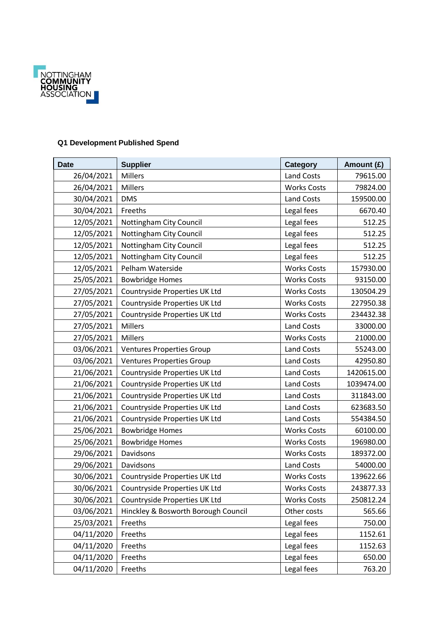

## **Q1 Development Published Spend**

| <b>Date</b> | <b>Supplier</b>                     | <b>Category</b>    | Amount (£) |
|-------------|-------------------------------------|--------------------|------------|
| 26/04/2021  | <b>Millers</b>                      | Land Costs         | 79615.00   |
| 26/04/2021  | <b>Millers</b>                      | <b>Works Costs</b> | 79824.00   |
| 30/04/2021  | <b>DMS</b>                          | <b>Land Costs</b>  | 159500.00  |
| 30/04/2021  | Freeths                             | Legal fees         | 6670.40    |
| 12/05/2021  | Nottingham City Council             | Legal fees         | 512.25     |
| 12/05/2021  | Nottingham City Council             | Legal fees         | 512.25     |
| 12/05/2021  | Nottingham City Council             | Legal fees         | 512.25     |
| 12/05/2021  | Nottingham City Council             | Legal fees         | 512.25     |
| 12/05/2021  | Pelham Waterside                    | <b>Works Costs</b> | 157930.00  |
| 25/05/2021  | <b>Bowbridge Homes</b>              | <b>Works Costs</b> | 93150.00   |
| 27/05/2021  | Countryside Properties UK Ltd       | <b>Works Costs</b> | 130504.29  |
| 27/05/2021  | Countryside Properties UK Ltd       | <b>Works Costs</b> | 227950.38  |
| 27/05/2021  | Countryside Properties UK Ltd       | <b>Works Costs</b> | 234432.38  |
| 27/05/2021  | <b>Millers</b>                      | <b>Land Costs</b>  | 33000.00   |
| 27/05/2021  | <b>Millers</b>                      | <b>Works Costs</b> | 21000.00   |
| 03/06/2021  | <b>Ventures Properties Group</b>    | <b>Land Costs</b>  | 55243.00   |
| 03/06/2021  | <b>Ventures Properties Group</b>    | <b>Land Costs</b>  | 42950.80   |
| 21/06/2021  | Countryside Properties UK Ltd       | <b>Land Costs</b>  | 1420615.00 |
| 21/06/2021  | Countryside Properties UK Ltd       | <b>Land Costs</b>  | 1039474.00 |
| 21/06/2021  | Countryside Properties UK Ltd       | <b>Land Costs</b>  | 311843.00  |
| 21/06/2021  | Countryside Properties UK Ltd       | <b>Land Costs</b>  | 623683.50  |
| 21/06/2021  | Countryside Properties UK Ltd       | Land Costs         | 554384.50  |
| 25/06/2021  | <b>Bowbridge Homes</b>              | <b>Works Costs</b> | 60100.00   |
| 25/06/2021  | <b>Bowbridge Homes</b>              | <b>Works Costs</b> | 196980.00  |
| 29/06/2021  | Davidsons                           | <b>Works Costs</b> | 189372.00  |
| 29/06/2021  | Davidsons                           | <b>Land Costs</b>  | 54000.00   |
| 30/06/2021  | Countryside Properties UK Ltd       | <b>Works Costs</b> | 139622.66  |
| 30/06/2021  | Countryside Properties UK Ltd       | <b>Works Costs</b> | 243877.33  |
| 30/06/2021  | Countryside Properties UK Ltd       | <b>Works Costs</b> | 250812.24  |
| 03/06/2021  | Hinckley & Bosworth Borough Council | Other costs        | 565.66     |
| 25/03/2021  | Freeths                             | Legal fees         | 750.00     |
| 04/11/2020  | Freeths                             | Legal fees         | 1152.61    |
| 04/11/2020  | Freeths                             | Legal fees         | 1152.63    |
| 04/11/2020  | Freeths                             | Legal fees         | 650.00     |
| 04/11/2020  | Freeths                             | Legal fees         | 763.20     |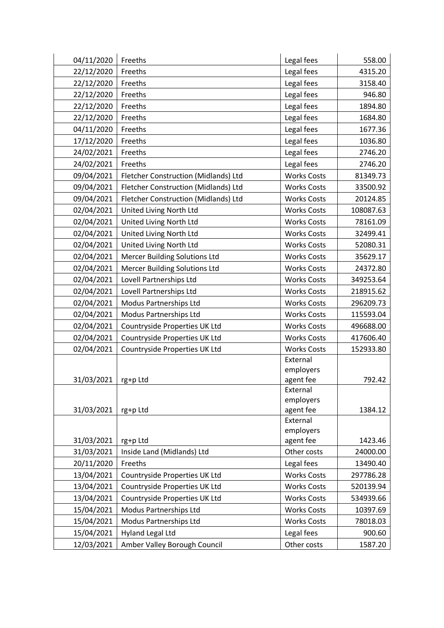| 04/11/2020 | Freeths                              | Legal fees            | 558.00    |
|------------|--------------------------------------|-----------------------|-----------|
| 22/12/2020 | Freeths                              | Legal fees            | 4315.20   |
| 22/12/2020 | Freeths                              | Legal fees            | 3158.40   |
| 22/12/2020 | Freeths                              | Legal fees            | 946.80    |
| 22/12/2020 | Freeths                              | Legal fees            | 1894.80   |
| 22/12/2020 | Freeths                              | Legal fees            | 1684.80   |
| 04/11/2020 | Freeths                              | Legal fees            | 1677.36   |
| 17/12/2020 | Freeths                              | Legal fees            | 1036.80   |
| 24/02/2021 | Freeths                              | Legal fees            | 2746.20   |
| 24/02/2021 | Freeths                              | Legal fees            | 2746.20   |
| 09/04/2021 | Fletcher Construction (Midlands) Ltd | <b>Works Costs</b>    | 81349.73  |
| 09/04/2021 | Fletcher Construction (Midlands) Ltd | <b>Works Costs</b>    | 33500.92  |
| 09/04/2021 | Fletcher Construction (Midlands) Ltd | <b>Works Costs</b>    | 20124.85  |
| 02/04/2021 | United Living North Ltd              | <b>Works Costs</b>    | 108087.63 |
| 02/04/2021 | United Living North Ltd              | <b>Works Costs</b>    | 78161.09  |
| 02/04/2021 | United Living North Ltd              | <b>Works Costs</b>    | 32499.41  |
| 02/04/2021 | United Living North Ltd              | <b>Works Costs</b>    | 52080.31  |
| 02/04/2021 | <b>Mercer Building Solutions Ltd</b> | <b>Works Costs</b>    | 35629.17  |
| 02/04/2021 | <b>Mercer Building Solutions Ltd</b> | <b>Works Costs</b>    | 24372.80  |
| 02/04/2021 | Lovell Partnerships Ltd              | <b>Works Costs</b>    | 349253.64 |
| 02/04/2021 | Lovell Partnerships Ltd              | <b>Works Costs</b>    | 218915.62 |
| 02/04/2021 | Modus Partnerships Ltd               | <b>Works Costs</b>    | 296209.73 |
| 02/04/2021 | Modus Partnerships Ltd               | <b>Works Costs</b>    | 115593.04 |
| 02/04/2021 | Countryside Properties UK Ltd        | <b>Works Costs</b>    | 496688.00 |
| 02/04/2021 | Countryside Properties UK Ltd        | <b>Works Costs</b>    | 417606.40 |
| 02/04/2021 | Countryside Properties UK Ltd        | <b>Works Costs</b>    | 152933.80 |
|            |                                      | External              |           |
|            |                                      | employers             |           |
| 31/03/2021 | rg+p Ltd                             | agent fee<br>External | 792.42    |
|            |                                      | employers             |           |
| 31/03/2021 | rg+p Ltd                             | agent fee             | 1384.12   |
|            |                                      | External              |           |
|            |                                      | employers             |           |
| 31/03/2021 | rg+p Ltd                             | agent fee             | 1423.46   |
| 31/03/2021 | Inside Land (Midlands) Ltd           | Other costs           | 24000.00  |
| 20/11/2020 | Freeths                              | Legal fees            | 13490.40  |
| 13/04/2021 | Countryside Properties UK Ltd        | <b>Works Costs</b>    | 297786.28 |
| 13/04/2021 | Countryside Properties UK Ltd        | <b>Works Costs</b>    | 520139.94 |
| 13/04/2021 | Countryside Properties UK Ltd        | <b>Works Costs</b>    | 534939.66 |
| 15/04/2021 | Modus Partnerships Ltd               | <b>Works Costs</b>    | 10397.69  |
| 15/04/2021 | Modus Partnerships Ltd               | <b>Works Costs</b>    | 78018.03  |
| 15/04/2021 | <b>Hyland Legal Ltd</b>              | Legal fees            | 900.60    |
| 12/03/2021 | Amber Valley Borough Council         | Other costs           | 1587.20   |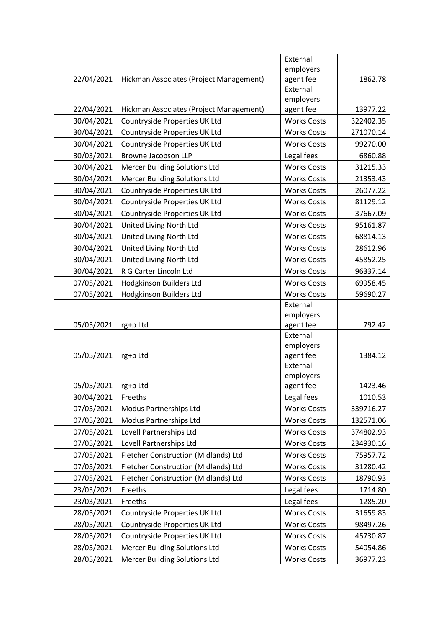|            |                                         | External           |           |
|------------|-----------------------------------------|--------------------|-----------|
|            |                                         | employers          |           |
| 22/04/2021 | Hickman Associates (Project Management) | agent fee          | 1862.78   |
|            |                                         | External           |           |
|            |                                         | employers          |           |
| 22/04/2021 | Hickman Associates (Project Management) | agent fee          | 13977.22  |
| 30/04/2021 | Countryside Properties UK Ltd           | <b>Works Costs</b> | 322402.35 |
| 30/04/2021 | Countryside Properties UK Ltd           | <b>Works Costs</b> | 271070.14 |
| 30/04/2021 | Countryside Properties UK Ltd           | <b>Works Costs</b> | 99270.00  |
| 30/03/2021 | <b>Browne Jacobson LLP</b>              | Legal fees         | 6860.88   |
| 30/04/2021 | <b>Mercer Building Solutions Ltd</b>    | <b>Works Costs</b> | 31215.33  |
| 30/04/2021 | <b>Mercer Building Solutions Ltd</b>    | <b>Works Costs</b> | 21353.43  |
| 30/04/2021 | Countryside Properties UK Ltd           | <b>Works Costs</b> | 26077.22  |
| 30/04/2021 | Countryside Properties UK Ltd           | <b>Works Costs</b> | 81129.12  |
| 30/04/2021 | Countryside Properties UK Ltd           | <b>Works Costs</b> | 37667.09  |
| 30/04/2021 | United Living North Ltd                 | <b>Works Costs</b> | 95161.87  |
| 30/04/2021 | United Living North Ltd                 | <b>Works Costs</b> | 68814.13  |
| 30/04/2021 | United Living North Ltd                 | <b>Works Costs</b> | 28612.96  |
| 30/04/2021 | United Living North Ltd                 | <b>Works Costs</b> | 45852.25  |
| 30/04/2021 | R G Carter Lincoln Ltd                  | <b>Works Costs</b> | 96337.14  |
| 07/05/2021 | Hodgkinson Builders Ltd                 | <b>Works Costs</b> | 69958.45  |
| 07/05/2021 | <b>Hodgkinson Builders Ltd</b>          | <b>Works Costs</b> | 59690.27  |
|            |                                         | External           |           |
|            |                                         | employers          |           |
| 05/05/2021 | rg+p Ltd                                | agent fee          | 792.42    |
|            |                                         | External           |           |
|            |                                         | employers          |           |
| 05/05/2021 | rg+p Ltd                                | agent fee          | 1384.12   |
|            |                                         | External           |           |
|            |                                         | employers          |           |
| 05/05/2021 | rg+p Ltd                                | agent fee          | 1423.46   |
| 30/04/2021 | Freeths                                 | Legal fees         | 1010.53   |
| 07/05/2021 | Modus Partnerships Ltd                  | <b>Works Costs</b> | 339716.27 |
| 07/05/2021 | Modus Partnerships Ltd                  | <b>Works Costs</b> | 132571.06 |
| 07/05/2021 | Lovell Partnerships Ltd                 | <b>Works Costs</b> | 374802.93 |
| 07/05/2021 | Lovell Partnerships Ltd                 | <b>Works Costs</b> | 234930.16 |
| 07/05/2021 | Fletcher Construction (Midlands) Ltd    | <b>Works Costs</b> | 75957.72  |
| 07/05/2021 | Fletcher Construction (Midlands) Ltd    | <b>Works Costs</b> | 31280.42  |
| 07/05/2021 | Fletcher Construction (Midlands) Ltd    | <b>Works Costs</b> | 18790.93  |
| 23/03/2021 | Freeths                                 | Legal fees         | 1714.80   |
| 23/03/2021 | Freeths                                 | Legal fees         | 1285.20   |
| 28/05/2021 | Countryside Properties UK Ltd           | <b>Works Costs</b> | 31659.83  |
| 28/05/2021 | Countryside Properties UK Ltd           | <b>Works Costs</b> | 98497.26  |
| 28/05/2021 | Countryside Properties UK Ltd           | <b>Works Costs</b> | 45730.87  |
| 28/05/2021 | <b>Mercer Building Solutions Ltd</b>    | <b>Works Costs</b> | 54054.86  |
| 28/05/2021 | <b>Mercer Building Solutions Ltd</b>    | <b>Works Costs</b> | 36977.23  |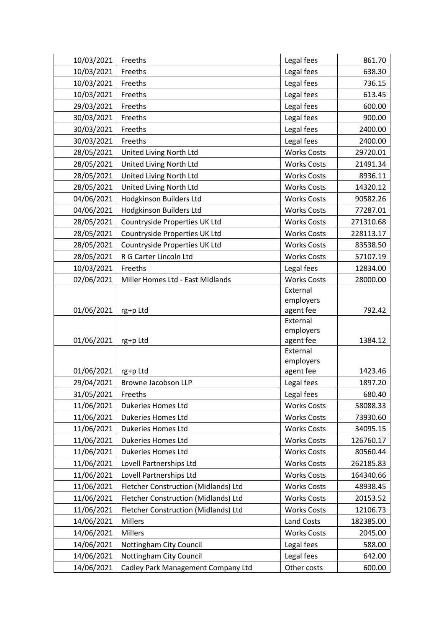| 10/03/2021 | Freeths                              | Legal fees            | 861.70    |
|------------|--------------------------------------|-----------------------|-----------|
| 10/03/2021 | Freeths                              | Legal fees            | 638.30    |
| 10/03/2021 | Freeths                              | Legal fees            | 736.15    |
| 10/03/2021 | Freeths                              | Legal fees            | 613.45    |
| 29/03/2021 | Freeths                              | Legal fees            | 600.00    |
| 30/03/2021 | Freeths                              | Legal fees            | 900.00    |
| 30/03/2021 | Freeths                              | Legal fees            | 2400.00   |
| 30/03/2021 | Freeths                              | Legal fees            | 2400.00   |
| 28/05/2021 | United Living North Ltd              | <b>Works Costs</b>    | 29720.01  |
| 28/05/2021 | United Living North Ltd              | <b>Works Costs</b>    | 21491.34  |
| 28/05/2021 | United Living North Ltd              | <b>Works Costs</b>    | 8936.11   |
| 28/05/2021 | United Living North Ltd              | <b>Works Costs</b>    | 14320.12  |
| 04/06/2021 | Hodgkinson Builders Ltd              | <b>Works Costs</b>    | 90582.26  |
| 04/06/2021 | Hodgkinson Builders Ltd              | <b>Works Costs</b>    | 77287.01  |
| 28/05/2021 | Countryside Properties UK Ltd        | <b>Works Costs</b>    | 271310.68 |
| 28/05/2021 | Countryside Properties UK Ltd        | <b>Works Costs</b>    | 228113.17 |
| 28/05/2021 | Countryside Properties UK Ltd        | <b>Works Costs</b>    | 83538.50  |
| 28/05/2021 | R G Carter Lincoln Ltd               | <b>Works Costs</b>    | 57107.19  |
| 10/03/2021 | Freeths                              | Legal fees            | 12834.00  |
| 02/06/2021 | Miller Homes Ltd - East Midlands     | <b>Works Costs</b>    | 28000.00  |
|            |                                      | External              |           |
|            |                                      | employers             |           |
| 01/06/2021 | rg+p Ltd                             | agent fee             | 792.42    |
|            |                                      | External<br>employers |           |
| 01/06/2021 | rg+p Ltd                             | agent fee             | 1384.12   |
|            |                                      | External              |           |
|            |                                      | employers             |           |
| 01/06/2021 | rg+p Ltd                             | agent fee             | 1423.46   |
| 29/04/2021 | Browne Jacobson LLP                  | Legal fees            | 1897.20   |
| 31/05/2021 | Freeths                              | Legal fees            | 680.40    |
| 11/06/2021 | <b>Dukeries Homes Ltd</b>            | <b>Works Costs</b>    | 58088.33  |
| 11/06/2021 | Dukeries Homes Ltd                   | <b>Works Costs</b>    | 73930.60  |
| 11/06/2021 | <b>Dukeries Homes Ltd</b>            | <b>Works Costs</b>    | 34095.15  |
| 11/06/2021 | Dukeries Homes Ltd                   | <b>Works Costs</b>    | 126760.17 |
| 11/06/2021 | Dukeries Homes Ltd                   | <b>Works Costs</b>    | 80560.44  |
| 11/06/2021 | Lovell Partnerships Ltd              | <b>Works Costs</b>    | 262185.83 |
| 11/06/2021 | Lovell Partnerships Ltd              | <b>Works Costs</b>    | 164340.66 |
| 11/06/2021 | Fletcher Construction (Midlands) Ltd | <b>Works Costs</b>    | 48938.45  |
| 11/06/2021 | Fletcher Construction (Midlands) Ltd | <b>Works Costs</b>    | 20153.52  |
| 11/06/2021 | Fletcher Construction (Midlands) Ltd | <b>Works Costs</b>    | 12106.73  |
| 14/06/2021 | <b>Millers</b>                       | Land Costs            | 182385.00 |
| 14/06/2021 | <b>Millers</b>                       | <b>Works Costs</b>    | 2045.00   |
| 14/06/2021 | Nottingham City Council              | Legal fees            | 588.00    |
| 14/06/2021 | Nottingham City Council              | Legal fees            | 642.00    |
| 14/06/2021 | Cadley Park Management Company Ltd   | Other costs           | 600.00    |